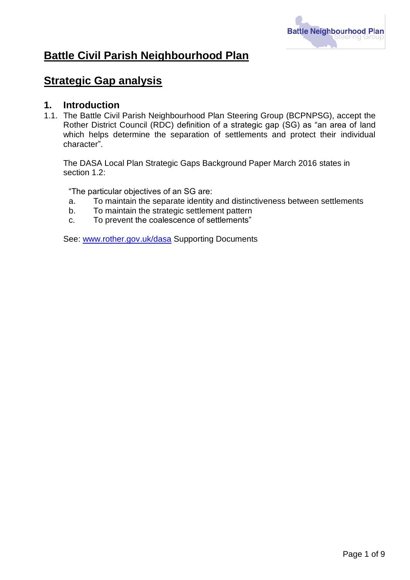

# **Battle Civil Parish Neighbourhood Plan**

# **Strategic Gap analysis**

#### **1. Introduction**

1.1. The Battle Civil Parish Neighbourhood Plan Steering Group (BCPNPSG), accept the Rother District Council (RDC) definition of a strategic gap (SG) as "an area of land which helps determine the separation of settlements and protect their individual character".

The DASA Local Plan Strategic Gaps Background Paper March 2016 states in section 1.2:

"The particular objectives of an SG are:

- a. To maintain the separate identity and distinctiveness between settlements
- b. To maintain the strategic settlement pattern
- c. To prevent the coalescence of settlements"

See: [www.rother.gov.uk/dasa](http://www.rother.gov.uk/dasa) Supporting Documents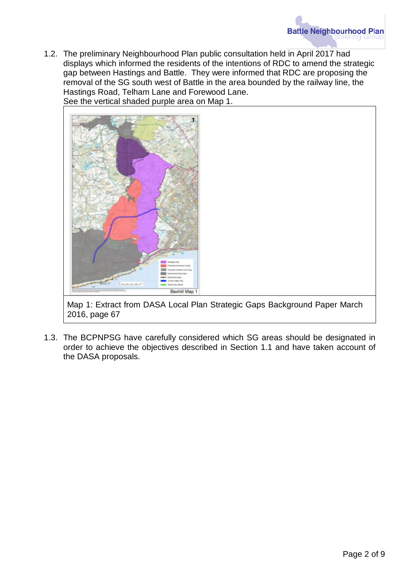1.2. The preliminary Neighbourhood Plan public consultation held in April 2017 had displays which informed the residents of the intentions of RDC to amend the strategic gap between Hastings and Battle. They were informed that RDC are proposing the removal of the SG south west of Battle in the area bounded by the railway line, the Hastings Road, Telham Lane and Forewood Lane. See the vertical shaded purple area on Map 1.



Map 1: Extract from DASA Local Plan Strategic Gaps Background Paper March 2016, page 67

1.3. The BCPNPSG have carefully considered which SG areas should be designated in order to achieve the objectives described in Section 1.1 and have taken account of the DASA proposals.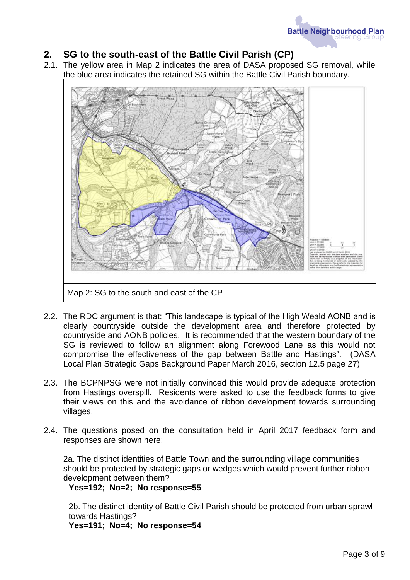### **2. SG to the south-east of the Battle Civil Parish (CP)**

2.1. The yellow area in Map 2 indicates the area of DASA proposed SG removal, while the blue area indicates the retained SG within the Battle Civil Parish boundary.



- 2.2. The RDC argument is that: "This landscape is typical of the High Weald AONB and is clearly countryside outside the development area and therefore protected by countryside and AONB policies. It is recommended that the western boundary of the SG is reviewed to follow an alignment along Forewood Lane as this would not compromise the effectiveness of the gap between Battle and Hastings". (DASA Local Plan Strategic Gaps Background Paper March 2016, section 12.5 page 27)
- 2.3. The BCPNPSG were not initially convinced this would provide adequate protection from Hastings overspill. Residents were asked to use the feedback forms to give their views on this and the avoidance of ribbon development towards surrounding villages.
- 2.4. The questions posed on the consultation held in April 2017 feedback form and responses are shown here:

2a. The distinct identities of Battle Town and the surrounding village communities should be protected by strategic gaps or wedges which would prevent further ribbon development between them?

**Yes=192; No=2; No response=55**

2b. The distinct identity of Battle Civil Parish should be protected from urban sprawl towards Hastings?

**Yes=191; No=4; No response=54**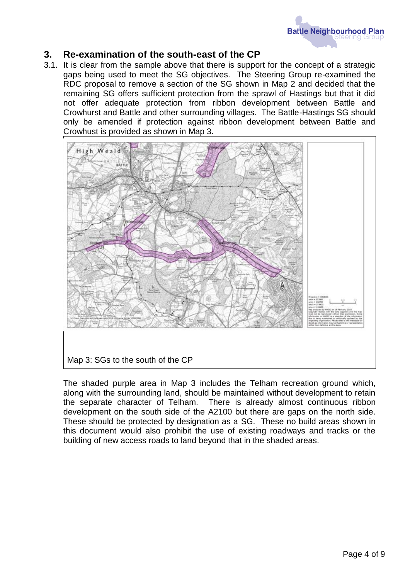

#### **3. Re-examination of the south-east of the CP**

3.1. It is clear from the sample above that there is support for the concept of a strategic gaps being used to meet the SG objectives. The Steering Group re-examined the RDC proposal to remove a section of the SG shown in Map 2 and decided that the remaining SG offers sufficient protection from the sprawl of Hastings but that it did not offer adequate protection from ribbon development between Battle and Crowhurst and Battle and other surrounding villages. The Battle-Hastings SG should only be amended if protection against ribbon development between Battle and Crowhust is provided as shown in Map 3.



The shaded purple area in Map 3 includes the Telham recreation ground which, along with the surrounding land, should be maintained without development to retain the separate character of Telham. There is already almost continuous ribbon development on the south side of the A2100 but there are gaps on the north side. These should be protected by designation as a SG. These no build areas shown in this document would also prohibit the use of existing roadways and tracks or the building of new access roads to land beyond that in the shaded areas.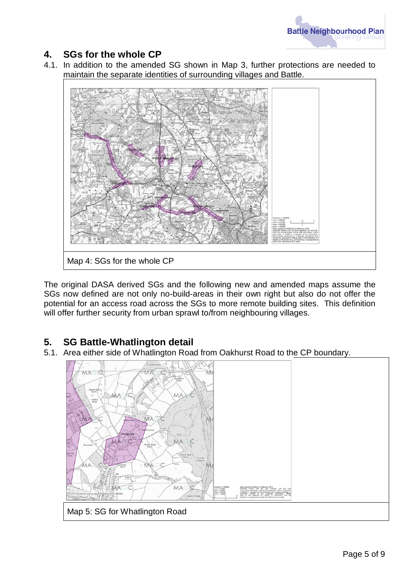

### **4. SGs for the whole CP**

4.1. In addition to the amended SG shown in Map 3, further protections are needed to maintain the separate identities of surrounding villages and Battle.



The original DASA derived SGs and the following new and amended maps assume the SGs now defined are not only no-build-areas in their own right but also do not offer the potential for an access road across the SGs to more remote building sites. This definition will offer further security from urban sprawl to/from neighbouring villages.

### **5. SG Battle-Whatlington detail**

5.1. Area either side of Whatlington Road from Oakhurst Road to the CP boundary.

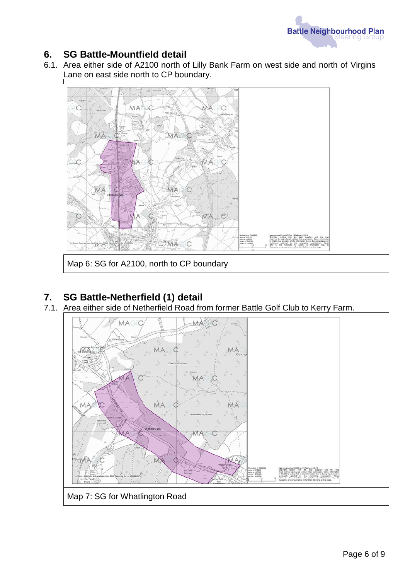

#### **6. SG Battle-Mountfield detail**

6.1. Area either side of A2100 north of Lilly Bank Farm on west side and north of Virgins Lane on east side north to CP boundary.



### **7. SG Battle-Netherfield (1) detail**

7.1. See Battle Treater from the Collection of the Colf Club to Kerry Farm.

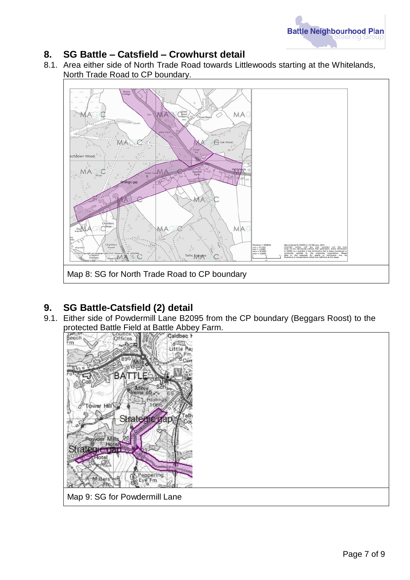

#### **8. SG Battle – Catsfield – Crowhurst detail**

8.1. Area either side of North Trade Road towards Littlewoods starting at the Whitelands, North Trade Road to CP boundary.



# **9. SG Battle-Catsfield (2) detail**

9.1. Either side of Powdermill Lane B2095 from the CP boundary (Beggars Roost) to the

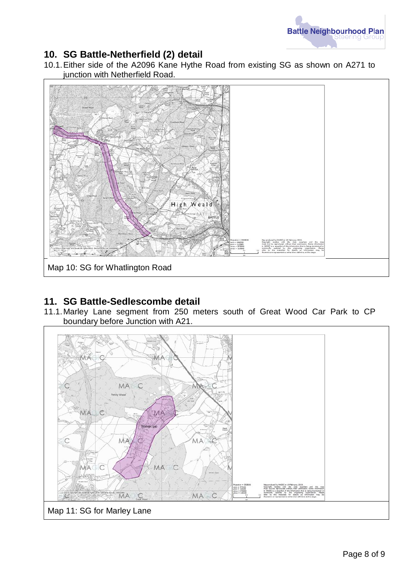

#### **10. SG Battle-Netherfield (2) detail**

10.1.Either side of the A2096 Kane Hythe Road from existing SG as shown on A271 to junction with Netherfield Road.



#### **11. SG Battle-Sedlescombe detail**

11.1.Marley Lane segment from 250 meters south of Great Wood Car Park to CP boundary before Junction with A21.

![](_page_7_Figure_6.jpeg)